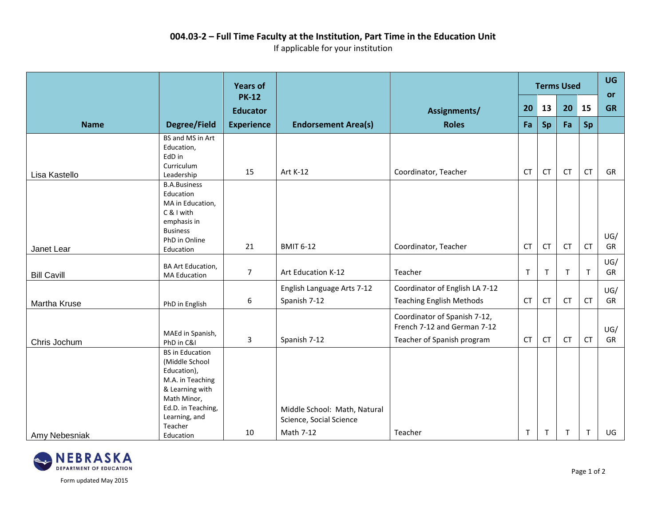## **004.03-2 – Full Time Faculty at the Institution, Part Time in the Education Unit** If applicable for your institution

|                    |                                                                                                                                                                              | <b>Years of</b>                 |                                                                      |                                                                                           | <b>Terms Used</b> |           |              | <b>UG</b><br><b>or</b> |           |
|--------------------|------------------------------------------------------------------------------------------------------------------------------------------------------------------------------|---------------------------------|----------------------------------------------------------------------|-------------------------------------------------------------------------------------------|-------------------|-----------|--------------|------------------------|-----------|
|                    |                                                                                                                                                                              | <b>PK-12</b><br><b>Educator</b> |                                                                      | Assignments/                                                                              | 20                | 13        | 20           | 15                     | <b>GR</b> |
| <b>Name</b>        | Degree/Field                                                                                                                                                                 | <b>Experience</b>               | <b>Endorsement Area(s)</b>                                           | <b>Roles</b>                                                                              | Fa                | Sp        | Fa           | Sp                     |           |
| Lisa Kastello      | BS and MS in Art<br>Education,<br>EdD in<br>Curriculum<br>Leadership                                                                                                         | 15                              | Art K-12                                                             | Coordinator, Teacher                                                                      | <b>CT</b>         | <b>CT</b> | <b>CT</b>    | <b>CT</b>              | GR        |
| Janet Lear         | <b>B.A.Business</b><br>Education<br>MA in Education,<br>C & I with<br>emphasis in<br><b>Business</b><br>PhD in Online                                                        | 21                              | <b>BMIT 6-12</b>                                                     | Coordinator, Teacher                                                                      | <b>CT</b>         | <b>CT</b> | <b>CT</b>    | <b>CT</b>              | UG/<br>GR |
| <b>Bill Cavill</b> | Education<br><b>BA Art Education,</b><br><b>MA Education</b>                                                                                                                 | $\overline{7}$                  | Art Education K-12                                                   | Teacher                                                                                   | T                 | T.        | $\mathsf{T}$ | $\mathsf T$            | UG/<br>GR |
| Martha Kruse       | PhD in English                                                                                                                                                               | 6                               | English Language Arts 7-12<br>Spanish 7-12                           | Coordinator of English LA 7-12<br><b>Teaching English Methods</b>                         | <b>CT</b>         | <b>CT</b> | <b>CT</b>    | <b>CT</b>              | UG/<br>GR |
| Chris Jochum       | MAEd in Spanish,<br>PhD in C&I                                                                                                                                               | 3                               | Spanish 7-12                                                         | Coordinator of Spanish 7-12,<br>French 7-12 and German 7-12<br>Teacher of Spanish program | <b>CT</b>         | <b>CT</b> | <b>CT</b>    | <b>CT</b>              | UG/<br>GR |
| Amy Nebesniak      | <b>BS</b> in Education<br>(Middle School<br>Education),<br>M.A. in Teaching<br>& Learning with<br>Math Minor,<br>Ed.D. in Teaching,<br>Learning, and<br>Teacher<br>Education | 10                              | Middle School: Math, Natural<br>Science, Social Science<br>Math 7-12 | Teacher                                                                                   | $\mathsf{T}$      | T.        | T            | T                      | UG        |